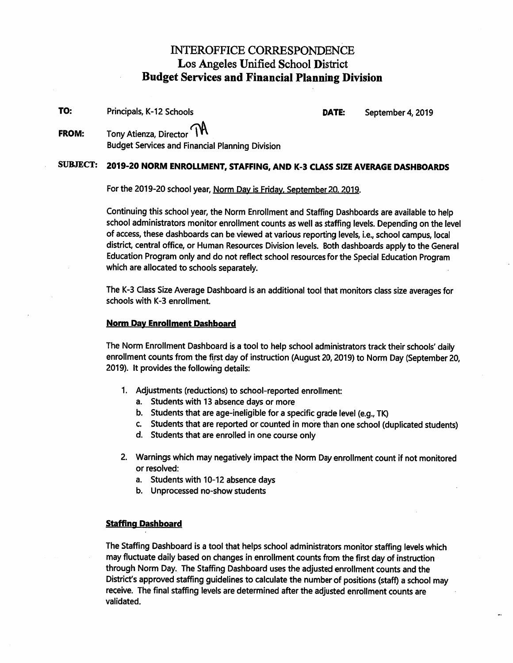## INTEROFFICE CORRESPONDENCE Los Angeles Unified School District Budget Services and Financial Planning Division

TO: Principals, K-12 Schools DATE: September 4, 2019

FROM: Tony Atienza, Director Budget Services and Financial Planning Division

# SUBJECT: 2019-20 NORM ENROLLMENT, STAFFING, AND K-3 CLASS SIZE AVERAGE DASHBOARDS

For the 2019-20 school year, Norm Dav is Fridav. September 20. 2019.

Continuing this school year, the Norm Enrollment and Staffing Dashboards are available to help school administrators monitor enrollment counts as well as staffing levels. Depending on the level of access, these dashboards can be viewed at various reporting levels, i.e., school campus, local district, central office, or Human Resources Division levels. Both dashboards apply to the General Education Program only and do not reflect school resources for the Special Education Program which are allocated to schools separately.

The K-3 Class Size Average Dashboard is an additional tool that monitors class size averages for schools with K-3 enrollment.

### Norm Day Enrollment Dashboard

The Norm Enrollment Dashboard is a tool to help school administrators track their schools' daily enrollment counts from the first day of instruction (August 20,2019) to Norm Day (September 20, 2019). It provides the following details:

- 1. Adjustments (reductions) to school-reported enrollment:
	- a. Students with 13 absence days or more
	- b. Students that are age-ineligible for a specific grade level (e.g., TK)
	- c. Students that are reported or counted in more than one school (duplicated students)
	- d. Students that are enrolled in one course only
- 2. Warnings which may negatively impact the Norm Day enrollment count if not monitored or resolved:
	- a. Students with 10-12 absence days
	- b. Unprocessed no-show students

### Staffing Dashboard

The Staffing Dashboard is a tool that helps school administrators monitor staffing levels which may fluctuate daily based on changes in enrollment counts from the first day of instruction through Norm Day. The Staffing Dashboard uses the adjusted enrollment counts and the District's approved staffing guidelines to calculate the number of positions (staff) a school may receive. The final staffing levels are determined after the adjusted enrollment counts are validated.